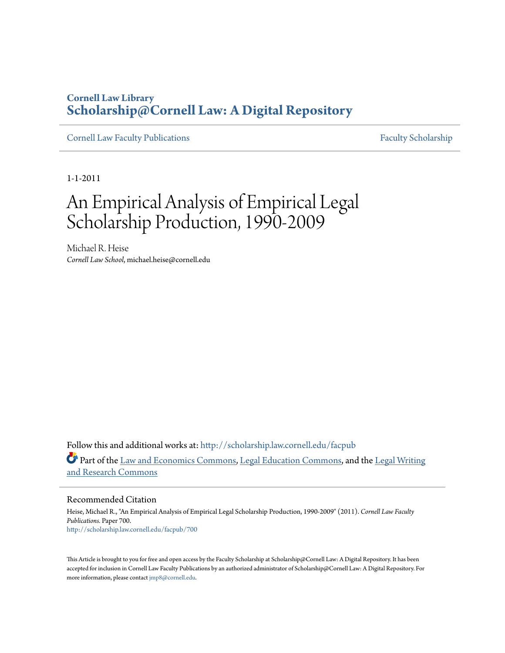### **Cornell Law Library [Scholarship@Cornell Law: A Digital Repository](http://scholarship.law.cornell.edu?utm_source=scholarship.law.cornell.edu%2Ffacpub%2F700&utm_medium=PDF&utm_campaign=PDFCoverPages)**

[Cornell Law Faculty Publications](http://scholarship.law.cornell.edu/facpub?utm_source=scholarship.law.cornell.edu%2Ffacpub%2F700&utm_medium=PDF&utm_campaign=PDFCoverPages) [Faculty Scholarship](http://scholarship.law.cornell.edu/facsch?utm_source=scholarship.law.cornell.edu%2Ffacpub%2F700&utm_medium=PDF&utm_campaign=PDFCoverPages)

1-1-2011

# An Empirical Analysis of Empirical Legal Scholarship Production, 1990-2009

Michael R. Heise *Cornell Law School*, michael.heise@cornell.edu

Follow this and additional works at: [http://scholarship.law.cornell.edu/facpub](http://scholarship.law.cornell.edu/facpub?utm_source=scholarship.law.cornell.edu%2Ffacpub%2F700&utm_medium=PDF&utm_campaign=PDFCoverPages) Part of the [Law and Economics Commons](http://network.bepress.com/hgg/discipline/612?utm_source=scholarship.law.cornell.edu%2Ffacpub%2F700&utm_medium=PDF&utm_campaign=PDFCoverPages), [Legal Education Commons](http://network.bepress.com/hgg/discipline/857?utm_source=scholarship.law.cornell.edu%2Ffacpub%2F700&utm_medium=PDF&utm_campaign=PDFCoverPages), and the [Legal Writing](http://network.bepress.com/hgg/discipline/614?utm_source=scholarship.law.cornell.edu%2Ffacpub%2F700&utm_medium=PDF&utm_campaign=PDFCoverPages) [and Research Commons](http://network.bepress.com/hgg/discipline/614?utm_source=scholarship.law.cornell.edu%2Ffacpub%2F700&utm_medium=PDF&utm_campaign=PDFCoverPages)

Recommended Citation

Heise, Michael R., "An Empirical Analysis of Empirical Legal Scholarship Production, 1990-2009" (2011). *Cornell Law Faculty Publications.* Paper 700. [http://scholarship.law.cornell.edu/facpub/700](http://scholarship.law.cornell.edu/facpub/700?utm_source=scholarship.law.cornell.edu%2Ffacpub%2F700&utm_medium=PDF&utm_campaign=PDFCoverPages)

This Article is brought to you for free and open access by the Faculty Scholarship at Scholarship@Cornell Law: A Digital Repository. It has been accepted for inclusion in Cornell Law Faculty Publications by an authorized administrator of Scholarship@Cornell Law: A Digital Repository. For more information, please contact [jmp8@cornell.edu.](mailto:jmp8@cornell.edu)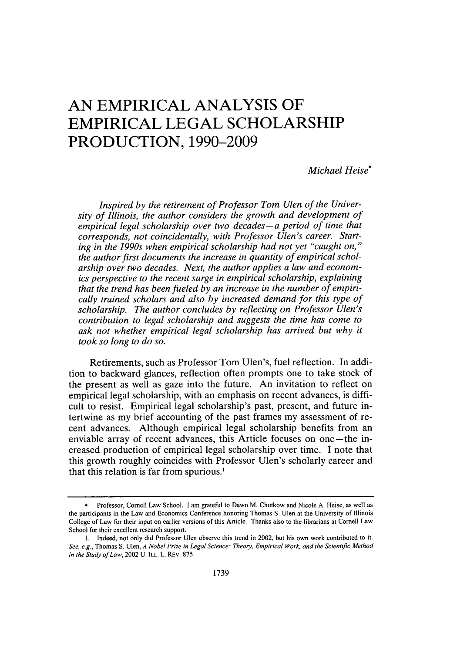## **AN EMPIRICAL ANALYSIS OF EMPIRICAL LEGAL SCHOLARSHIP PRODUCTION, 1990-2009**

#### *Michael Heise\**

*Inspired by the retirement of Professor Tom Ulen of the University of Illinois, the author considers the growth and development of empirical legal scholarship over two decades-a period of time that corresponds, not coincidentally, with Professor Ulen's career. Starting in the 1990s when empirical scholarship had not yet "caught on," the author first documents the increase in quantity of empirical scholarship over two decades. Next, the author applies a law and economics perspective to the recent surge in empirical scholarship, explaining that the trend has been fueled by an increase in the number of empirically trained scholars and also by increased demand for this type of scholarship. The author concludes by reflecting on Professor Ulen's contribution to legal scholarship and suggests the time has come to ask not whether empirical legal scholarship has arrived but why it took so long to do so.*

Retirements, such as Professor Tom Ulen's, fuel reflection. In addition to backward glances, reflection often prompts one to take stock of the present as well as gaze into the future. An invitation to reflect on empirical legal scholarship, with an emphasis on recent advances, is difficult to resist. Empirical legal scholarship's past, present, and future intertwine as my brief accounting of the past frames my assessment of recent advances. Although empirical legal scholarship benefits from an enviable array of recent advances, this Article focuses on one-the increased production of empirical legal scholarship over time. **I** note that this growth roughly coincides with Professor Ulen's scholarly career and that this relation is far from spurious.'

**<sup>\*</sup>** Professor, Cornell Law School. I am grateful to Dawn M. Chutkow and Nicole **A.** Heise, as well as the participants in the Law and Economics Conference honoring Thomas **S.** Ulen at the University of Illinois College of Law for their input on earlier versions of this Article. Thanks also to the librarians at Cornell Law School for their excellent research support.

**I.** Indeed, not only did Professor Ulen observe this trend in 2002, but his own work contributed to it. *See, e.g.,* Thomas **S.** Ulen, *A Nobel Prize in Legal Science: Theory, Empirical Work, and the Scientific Method in the Study ofLaw,* 2002 **U.** ILL. L. REV. **875.**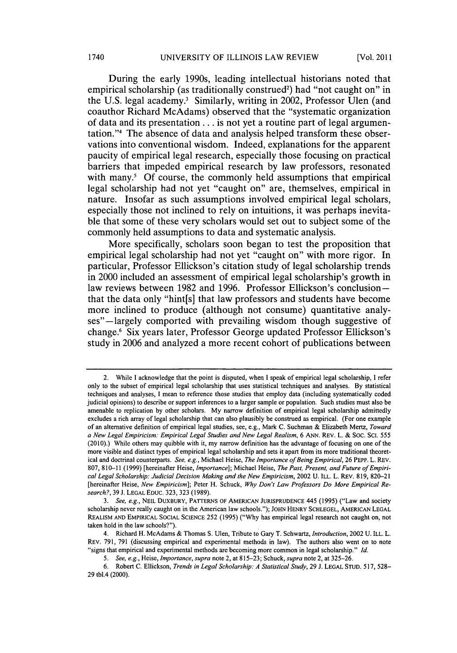During the early 1990s, leading intellectual historians noted that empirical scholarship (as traditionally construed<sup>2</sup>) had "not caught on" in the U.S. legal academy.<sup>3</sup> Similarly, writing in 2002, Professor Ulen (and coauthor Richard McAdams) observed that the "systematic organization of data and its presentation **...** is not yet a routine part of legal argumentation."4 The absence of data and analysis helped transform these observations into conventional wisdom. Indeed, explanations for the apparent paucity of empirical legal research, especially those focusing on practical barriers that impeded empirical research **by** law professors, resonated with many.<sup>5</sup> Of course, the commonly held assumptions that empirical legal scholarship had not yet "caught on" are, themselves, empirical in nature. Insofar as such assumptions involved empirical legal scholars, especially those not inclined to rely on intuitions, it was perhaps inevitable that some of these very scholars would set out to subject some of the commonly held assumptions to data and systematic analysis.

More specifically, scholars soon began to test the proposition that empirical legal scholarship had not yet "caught on" with more rigor. In particular, Professor Ellickson's citation study of legal scholarship trends in 2000 included an assessment of empirical legal scholarship's growth in law reviews between **1982** and **1996.** Professor Ellickson's conclusionthat the data only "hint[s] that law professors and students have become more inclined to produce (although not consume) quantitative analyses"—largely comported with prevailing wisdom though suggestive of change.6 Six years later, Professor George updated Professor Ellickson's study in **2006** and analyzed a more recent cohort of publications between

<sup>2.</sup> While **I** acknowledge that the point is disputed, when **I** speak of empirical legal scholarship, **I** refer only to the subset of empirical legal scholarship that uses statistical techniques and analyses. **By** statistical techniques and analyses, **I** mean to reference those studies that employ data (including systematically coded judicial opinions) to describe or support inferences to a larger sample or population. Such studies must also be amenable to replication **by** other scholars. **My** narrow definition of empirical legal scholarship admittedly excludes a rich array of legal scholarship that can also plausibly be construed as empirical. (For one example of an alternative definition of empirical legal studies, see, e.g., Mark **C.** Suchman **&** Elizabeth Mertz, *Toward a New Legal Empiricism: Empirical Legal Studies and New Legal Realism, 6* **ANN.** REv. L. **&** Soc. Sa. *<sup>555</sup>* **(2010).)** While others may quibble with it, my narrow definition has the advantage of focusing on one of the more visible and distinct types of empirical legal scholarship and sets it apart from its more traditional theoretical and doctrinal counterparts. *See, e.g.,* Michael Heise, *The Importance ofBeing Empirical,* **26** PEPP. L. REV. **807, 810-11 (1999)** [hereinafter Heise, *Importance];* Michael Heise, *The Past, Present, and Future ofEmpirical Legal Scholarship: Judicial Decision Making and the New Empiricism,* 2002 **U.** ILL. L. REv. **819, 820-21** [hereinafter Heise, *New Empiricism];* Peter H. Schuck, *Why Don't Law Professors Do More Empirical Research?,* **39 J. LEGAL EDUC. 323, 323 (1989).**

*<sup>3.</sup> See, e.g.,* **NEIL** DUXBURY, PATTERNS **OF AMERICAN JURISPRUDENCE** 445 **(1995)** ("Law and society scholarship never really caught on in the American law schools."); **JOHN HENRY SCHLEGEL, AMERICAN LEGAL REALISM AND EMPIRICAL SOCIAL SCIENCE 252 (1995) ("Why** has empirical legal research not caught on, not taken hold in the law schools?").

<sup>4.</sup> Richard H. McAdams **&** Thomas **S.** Ulen, Tribute to Gary T. Schwartz, *Introduction,* 2002 **U.** ILL. L. REv. **791, 791** (discussing empirical and experimental methods in law). The authors also went on to note "signs that empirical and experimental methods are becoming more common in legal scholarship." *Id.*

*<sup>5.</sup> See, e.g., Heise, Importance, supra* note 2, at **815-23;** Schuck, *supra* note 2, **at 325-26.**

*<sup>6.</sup>* Robert **C.** Ellickson, *Trends in Legal Scholarship: A Statistical Study,* **29 J. LEGAL STUD. 517, 528- 29** tbl.4 (2000).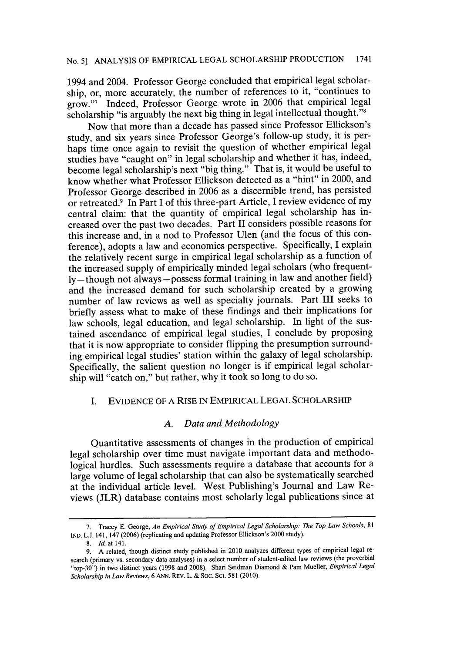1994 and 2004. Professor George concluded that empirical legal scholarship, or, more accurately, the number of references to it, "continues to grow."7 Indeed, Professor George wrote in **2006** that empirical legal scholarship "is arguably the next big thing in legal intellectual thought." $8$ 

Now that more than a decade has passed since Professor Ellickson's study, and six years since Professor George's follow-up study, it is perhaps time once again to revisit the question of whether empirical legal studies have "caught on" in legal scholarship and whether it has, indeed, become legal scholarship's next "big thing." That is, it would be useful to know whether what Professor Ellickson detected as a "hint" in 2000, and Professor George described in **2006** as a discernible trend, has persisted or retreated.9 In Part **I** of this three-part Article, **I** review evidence of my central claim: that the quantity of empirical legal scholarship has increased over the past two decades. Part II considers possible reasons for this increase and, in a nod to Professor Ulen (and the focus of this conference), adopts a law and economics perspective. Specifically, **I** explain the relatively recent surge in empirical legal scholarship as a function of the increased supply of empirically minded legal scholars (who frequent**ly -** though not always **-** possess formal training in law and another field) and the increased demand for such scholarship created **by** a growing number of law reviews as well as specialty journals. Part **III** seeks to briefly assess what to make of these findings and their implications for law schools, legal education, and legal scholarship. In light of the sustained ascendance of empirical legal studies, **I** conclude **by** proposing that it is now appropriate to consider flipping the presumption surrounding empirical legal studies' station within the galaxy of legal scholarship. Specifically, the salient question no longer is if empirical legal scholarship will "catch on," but rather, why it took so long to do so.

#### I. **EVIDENCE** OF **A** RISE **IN** EMPIRICAL **LEGAL** SCHOLARSHIP

#### *A. Data and Methodology*

Quantitative assessments of changes in the production of empirical legal scholarship over time must navigate important data and methodological hurdles. Such assessments require a database that accounts for a large volume of legal scholarship that can also be systematically searched at the individual article level. West Publishing's Journal and Law Reviews (JLR) database contains most scholarly legal publications since at

**<sup>7.</sup>** Tracey **E.** George, *An Empirical Study of Empirical Legal Scholarship: The Top Law Schools, <sup>81</sup>* **IND. L.J.** 141, 147 **(2006)** (replicating and updating Professor Ellickson's 2000 study).

**<sup>8.</sup>** *Id. at* 141.

**<sup>9.</sup> A** related, though distinct study published in 2010 analyzes different types of empirical legal research (primary vs. secondary data analyses) in a select number of student-edited law reviews (the proverbial "top-30") in two distinct years **(1998** and **2008).** Shari Seidman Diamond **&** Pam Mueller, *Empirical Legal Scholarship in Law Reviews,* **6 ANN.** REv. L. **&** Soc. So. **581 (2010).**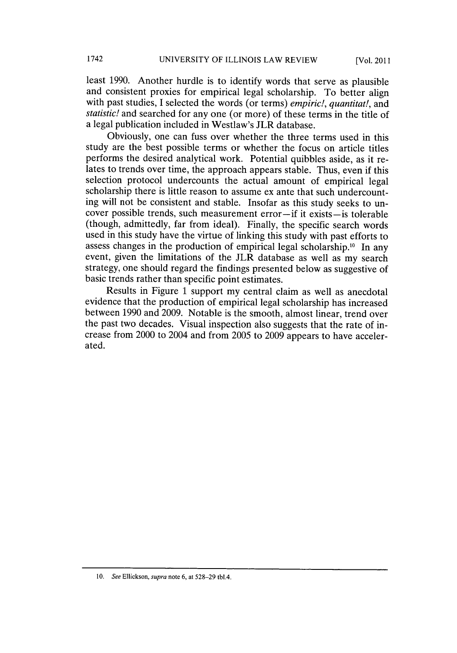least **1990.** Another hurdle is to identify words that serve as plausible and consistent proxies for empirical legal scholarship. To better align with past studies, I selected the words (or terms) *empiric!, quantitat!, and statistic!* and searched for any one (or more) of these terms in the title of a legal publication included in Westlaw's JLR database.

Obviously, one can fuss over whether the three terms used in this study are the best possible terms or whether the focus on article titles performs the desired analytical work. Potential quibbles aside, as it relates to trends over time, the approach appears stable. Thus, even if this selection protocol undercounts the actual amount of empirical legal scholarship there is little reason to assume ex ante that such undercounting will not be consistent and stable. Insofar as this study seeks to uncover possible trends, such measurement error-if it exists-is tolerable (though, admittedly, far from ideal). Finally, the specific search words used in this study have the virtue of linking this study with past efforts to assess changes in the production of empirical legal scholarship.<sup>10</sup> In any event, given the limitations of the JLR database as well as my search strategy, one should regard the findings presented below as suggestive of basic trends rather than specific point estimates.

Results in Figure **1** support my central claim as well as anecdotal evidence that the production of empirical legal scholarship has increased between **1990** and **2009.** Notable is the smooth, almost linear, trend over the past two decades. Visual inspection also suggests that the rate of increase from 2000 to 2004 and from **2005** to **2009** appears to have accelerated.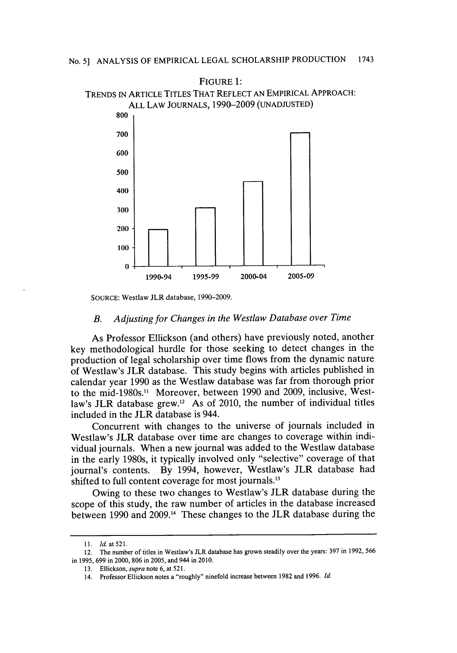

**SOURCE:** Westlaw JLR database, **1990-2009.**

#### *B. Adjusting for Changes in the Westlaw Database over Time*

As Professor Ellickson (and others) have previously noted, another key methodological hurdle for those seeking to detect changes in the production of legal scholarship over time flows from the dynamic nature of Westlaw's JLR database. This study begins with articles published in calendar year **1990** as the Westlaw database was far from thorough prior to the mid-1980s." Moreover, between **1990** and **2009,** inclusive, Westlaw's JLR database grew.<sup>12</sup> As of 2010, the number of individual titles included in the **JLR** database is 944.

Concurrent with changes to the universe of journals included in Westlaw's JLR database over time are changes to coverage within individual journals. When a new journal was added to the Westlaw database in the early 1980s, it typically involved only "selective" coverage of that journal's contents. **By** 1994, however, Westlaw's JLR database had shifted to full content coverage for most journals.<sup>13</sup>

Owing to these two changes to Westlaw's JLR database during the scope of this study, the raw number of articles in the database increased between **1990** and **2009.14** These changes to the JLR database during the

**<sup>11.</sup>** *Id.at521.*

<sup>12.</sup> The number of titles in Westlaw's JLR database has grown steadily over the years: **397** in **1992, 566** in **1995, 699** in 2000, **806** in **2005,** and 944 in 2010.

**<sup>13.</sup>** Ellickson, *supra* note **6,** at **521.**

<sup>14.</sup> Professor Ellickson notes a "roughly" ninefold increase between **1982** and **1996.** *Id.*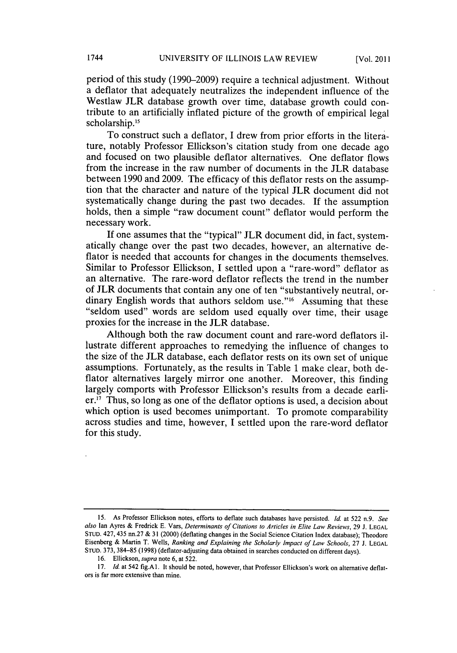period of this study **(1990-2009)** require a technical adjustment. Without a deflator that adequately neutralizes the independent influence of the Westlaw JLR database growth over time, database growth could contribute to an artificially inflated picture of the growth of empirical legal scholarship.<sup>15</sup>

To construct such a deflator, **I** drew from prior efforts in the literature, notably Professor Ellickson's citation study from one decade ago and focused on two plausible deflator alternatives. One deflator flows from the increase in the raw number of documents in the JLR database between **1990** and **2009.** The efficacy of this deflator rests on the assumption that the character and nature of the typical JLR document did not systematically change during the past two decades. **If** the assumption holds, then a simple "raw document count" deflator would perform the necessary work.

**If** one assumes that the "typical" JLR document did, in fact, systematically change over the past two decades, however, an alternative deflator is needed that accounts for changes in the documents themselves. Similar to Professor Ellickson, **I** settled upon a "rare-word" deflator as an alternative. The rare-word deflator reflects the trend in the number of **JLR** documents that contain any one of ten "substantively neutral, ordinary English words that authors seldom use."<sup>16</sup> Assuming that these "seldom used" words are seldom used equally over time, their usage proxies for the increase in the JLR database.

Although both the raw document count and rare-word deflators illustrate different approaches to remedying the influence of changes to the size of the JLR database, each deflator rests on its own set of unique assumptions. Fortunately, as the results in Table **1** make clear, both deflator alternatives largely mirror one another. Moreover, this finding largely comports with Professor Ellickson's results from a decade earli $er<sup>17</sup>$ . Thus, so long as one of the deflator options is used, a decision about which option is used becomes unimportant. To promote comparability across studies and time, however, **I** settled upon the rare-word deflator for this study.

*<sup>15.</sup>* As Professor Ellickson notes, efforts to deflate such databases have persisted. *Id at* **522** n.9. *See also* Ian Ayres **&** Fredrick **E.** Vars, *Determinants of Citations to Articles in Elite Law Reviews,* **29 J. LEGAL STUD.** 427, 435 nn.27 **& 31** (2000) (deflating changes in the Social Science Citation Index database); Theodore Eisenberg **&** Martin T. Wells, *Ranking and Explaining the Scholarly Impact of Law Schools,* **27 J. LEGAL STUD. 373, 384-85 (1998)** (deflator-adjusting data obtained in searches conducted on different days).

**<sup>16.</sup>** Ellickson, *supra* note **6,** at **522.**

**<sup>17.</sup>** *Id* at 542 fig.Al. It should be noted, however, that Professor Ellickson's work on alternative deflat ors is far more extensive than mine.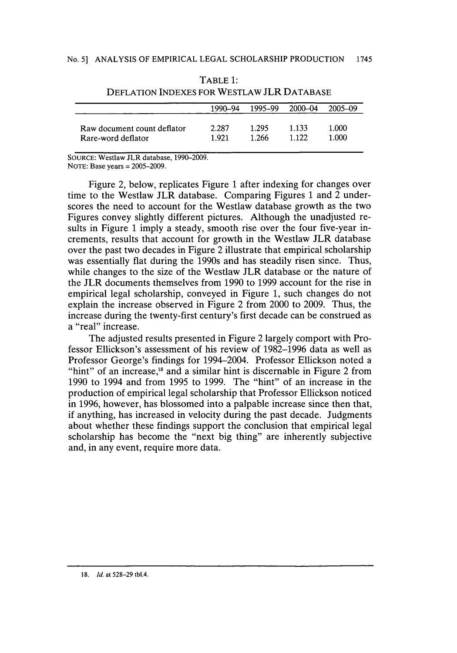|                             | 1990-94 | 1995-99 | $2000 - 04$ | $2005 - 09$ |
|-----------------------------|---------|---------|-------------|-------------|
| Raw document count deflator | 2.287   | 1.295   | 1 1 3 3     | 1.000       |
| Rare-word deflator          | 1.921   | 1.266   | 1 1 2 2     | 1.000       |

| TABLE 1:                                   |
|--------------------------------------------|
| DEFLATION INDEXES FOR WESTLAW JLR DATABASE |

**SOURCE:** Westlaw JLR database, **1990-2009. NOTE:** Base years **= 2005-2009.**

Figure 2, below, replicates Figure 1 after indexing for changes over time to the Westlaw JLR database. Comparing Figures **1** and 2 underscores the need to account for the Westlaw database growth as the two Figures convey slightly different pictures. Although the unadjusted results in Figure **1** imply a steady, smooth rise over the four five-year increments, results that account for growth in the Westlaw JLR database over the past two decades in Figure 2 illustrate that empirical scholarship was essentially flat during the 1990s and has steadily risen since. Thus, while changes to the size of the Westlaw JLR database or the nature of the JLR documents themselves from **1990** to **1999** account for the rise in empirical legal scholarship, conveyed in Figure **1,** such changes do not explain the increase observed in Figure 2 from 2000 to **2009.** Thus, the increase during the twenty-first century's first decade can be construed as a "real" increase.

The adjusted results presented in Figure 2 largely comport with Professor Ellickson's assessment of his review of **1982-1996** data as well as Professor George's findings for 1994-2004. Professor Ellickson noted a "hint" of an increase, $18$  and a similar hint is discernable in Figure 2 from **1990** to 1994 and from **1995** to **1999.** The "hint" of an increase in the production of empirical legal scholarship that Professor Ellickson noticed in **1996,** however, has blossomed into a palpable increase since then that, if anything, has increased in velocity during the past decade. Judgments about whether these findings support the conclusion that empirical legal scholarship has become the "next big thing" are inherently subjective and, in any event, require more data.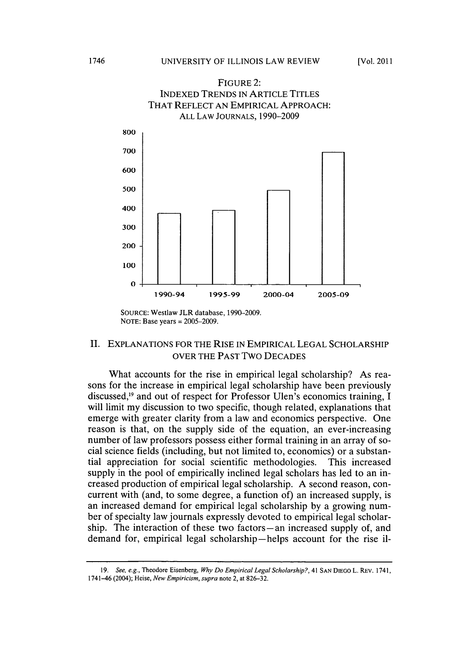

**SOURCE:** Westlaw JLR database, **1990-2009. NOTE:** Base years **= 2005-2009.**

#### II. **EXPLANATIONS** FOR THE RISE **IN** EMPIRICAL **LEGAL** SCHOLARSHIP OVER THE **PAST** TWO **DECADES**

What accounts for the rise in empirical legal scholarship? As reasons for the increase in empirical legal scholarship have been previously discussed,<sup>19</sup> and out of respect for Professor Ulen's economics training, I will limit my discussion to two specific, though related, explanations that emerge with greater clarity from a law and economics perspective. One reason is that, on the supply side of the equation, an ever-increasing number of law professors possess either formal training in an array of social science fields (including, but not limited to, economics) or a substantial appreciation for social scientific methodologies. This increased supply in the pool of empirically inclined legal scholars has led to an increased production of empirical legal scholarship. **A** second reason, concurrent with (and, to some degree, a function of) an increased supply, is an increased demand for empirical legal scholarship **by** a growing number of specialty law journals expressly devoted to empirical legal scholarship. The interaction of these two factors-an increased supply of, and demand for, empirical legal scholarship-helps account for the rise il-

*<sup>19.</sup> See, e.g.,* Theodore Eisenberg, *Why Do Empirical Legal Scholarship?,* 41 **SAN** DIEGO L. REV. 1741, 1741-46 (2004); Heise, *New Empiricism, supra* note 2, at **826-32.**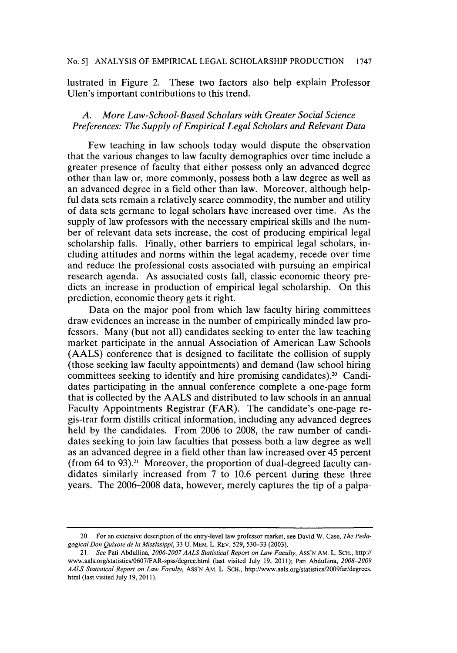lustrated in Figure 2. These two factors also help explain Professor Ulen's important contributions to this trend.

#### *A. More Law-School-Based Scholars with Greater Social Science Preferences: The Supply of Empirical Legal Scholars and Relevant Data*

Few teaching in law schools today would dispute the observation that the various changes to law faculty demographics over time include a greater presence of faculty that either possess only an advanced degree other than law or, more commonly, possess both a law degree as well as an advanced degree in a field other than law. Moreover, although helpful data sets remain a relatively scarce commodity, the number and utility of data sets germane to legal scholars have increased over time. As the supply of law professors with the necessary empirical skills and the number of relevant data sets increase, the cost of producing empirical legal scholarship falls. Finally, other barriers to empirical legal scholars, including attitudes and norms within the legal academy, recede over time and reduce the professional costs associated with pursuing an empirical research agenda. As associated costs fall, classic economic theory predicts an increase in production of empirical legal scholarship. On this prediction, economic theory gets it right.

Data on the major pool from which law faculty hiring committees draw evidences an increase in the number of empirically minded law professors. Many (but not all) candidates seeking to enter the law teaching market participate in the annual Association of American Law Schools **(AALS)** conference that is designed to facilitate the collision of supply (those seeking law faculty appointments) and demand (law school hiring committees seeking to identify and hire promising candidates).<sup>20</sup> Candidates participating in the annual conference complete a one-page form that is collected **by** the **AALS** and distributed to law schools in an annual Faculty Appointments Registrar (FAR). The candidate's one-page regis-trar form distills critical information, including any advanced degrees held **by** the candidates. From **2006** to **2008,** the raw number of candidates seeking to join law faculties that possess both a law degree as well as an advanced degree in a field other than law increased over *45* percent (from 64 to **93).21** Moreover, the proportion of dual-degreed faculty candidates similarly increased from **7** to **10.6** percent during these three years. The **2006-2008** data, however, merely captures the tip of a palpa-

<sup>20.</sup> For an extensive description of the entry-level law professor market, see David W. Case, *The Pedagogical Don Quixote de la Mississippi,* **33 U.** MEM. L. REv. **529, 530-33 (2003).**

*<sup>21.</sup> See* Pati Abdullina, *2006-2007 AALS Statistical Report on Law Faculty,* Ass'N AM. L. **SCH.,** http:// www.aals.org/statistics/0607/FAR-spss/degree.html (last visited July **19, 2011);** Pati Abdullina, *2008-2009 AALS Statistical Report on Law Faculty,* **AsS'N** AM. L. **SCH.,** http://www.aals.org/statisties/2009far/degrees. html (last visited July **19, 2011).**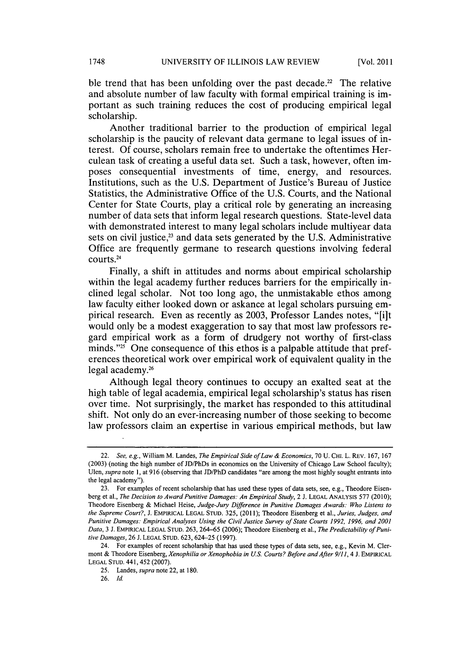ble trend that has been unfolding over the past decade.<sup>22</sup> The relative and absolute number of law faculty with formal empirical training is important as such training reduces the cost of producing empirical legal scholarship.

Another traditional barrier to the production of empirical legal scholarship is the paucity of relevant data germane to legal issues of interest. **Of** course, scholars remain free to undertake the oftentimes Herculean task of creating a useful data set. Such a task, however, often imposes consequential investments of time, energy, and resources. Institutions, such as the **U.S.** Department of Justice's Bureau of Justice Statistics, the Administrative Office of the **U.S.** Courts, and the National Center for State Courts, play a critical role **by** generating an increasing number of data sets that inform legal research questions. State-level data with demonstrated interest to many legal scholars include multiyear data sets on civil justice,<sup>23</sup> and data sets generated by the U.S. Administrative Office are frequently germane to research questions involving federal courts.24

Finally, a shift in attitudes and norms about empirical scholarship within the legal academy further reduces barriers for the empirically inclined legal scholar. Not too long ago, the unmistakable ethos among law faculty either looked down or askance at legal scholars pursuing empirical research. Even as recently as **2003,** Professor Landes notes, "[i]t would only be a modest exaggeration to say that most law professors regard empirical work as a form of drudgery not worthy of first-class minds." $25$  One consequence of this ethos is a palpable attitude that preferences theoretical work over empirical work of equivalent quality in the legal academy. <sup>26</sup>

Although legal theory continues to occupy an exalted seat at the high table of legal academia, empirical legal scholarship's status has risen over time. Not surprisingly, the market has responded to this attitudinal shift. Not only do an ever-increasing number of those seeking to become law professors claim an expertise in various empirical methods, but law

*<sup>22.</sup> See, e.g.,* William M. Landes, *The Empirical Side ofLaw & Economics,* **70 U. CHI.** L. REv. **167, 167 (2003)** (noting the high number of JD/PhDs in economics on the University of Chicago Law School faculty); *Ulen, supra note* **1,** at **916** (observing that **JD/PhD** candidates "are among the most **highly** sought entrants into the legal academy").

**<sup>23.</sup>** For examples of recent scholarship that has used these types of data sets, see, e.g., Theodore Eisenberg et al., *The Decision to Award Punitive Damages: An Empirical Study,* 2 **J. LEGAL ANALYSIS 577** (2010); Theodore Eisenberg **&** Michael Heise, *Judge-Jury Difference in Punitive Damages Awards: Who Listens to the Supreme Court?,* **J. EMPIRICAL LEGAL STUD. 325, (2011);** Theodore Eisenberg et al., *Juries, Judges, and Punitive Damages: Empirical Analyses Using the Civil Justice Survey of State Courts 1992, 1996, and 2001* Data, 3 J. EMPIRICAL LEGAL STUD. 263, 264-65 (2006); Theodore Eisenberg et al., *The Predictability of Punitive Damages,* **26 J. LEGAL STUD. 623,** 624-25 **(1997).**

<sup>24.</sup> For examples of recent scholarship that has used these types of data sets, see, e.g., Kevin M. Clermont **&** Theodore Eisenberg, *Xenophilia or Xenophobia in US. Courts? Before and After 9/11, 4* **J. EMPIRICAL LEGAL STUD.** 441, 452 **(2007).**

**<sup>25.</sup>** Landes, *supra* note 22, at **180.**

**<sup>26.</sup>** *Id.*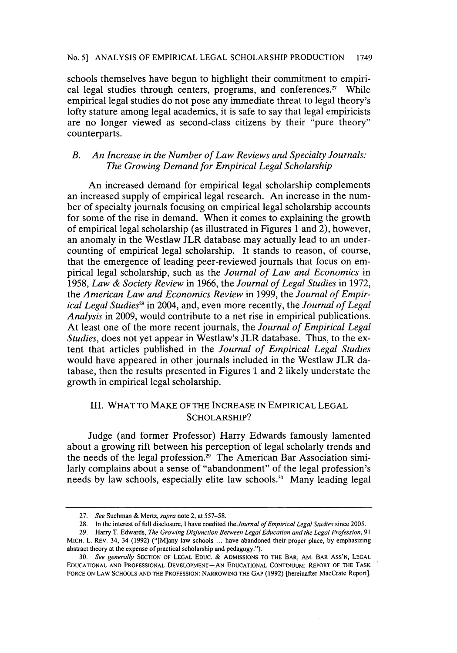schools themselves have begun to highlight their commitment to empirical legal studies through centers, programs, and conferences." While empirical legal studies do not pose any immediate threat to legal theory's lofty stature among legal academics, it is safe to say that legal empiricists are no longer viewed as second-class citizens **by** their "pure theory" counterparts.

#### *B. An Increase in the Number of Law Reviews and Specialty Journals: The Growing Demand for Empirical Legal Scholarship*

An increased demand for empirical legal scholarship complements an increased supply of empirical legal research. An increase in the number of specialty journals focusing on empirical legal scholarship accounts for some of the rise in demand. When it comes to explaining the growth of empirical legal scholarship (as illustrated in Figures **1** and 2), however, an anomaly in the Westlaw JLR database may actually lead to an undercounting of empirical legal scholarship. It stands to reason, of course, that the emergence of leading peer-reviewed journals that focus on empirical legal scholarship, such as the *Journal of Law and Economics in 1958, Law & Society Review* in **1966,** the *Journal of Legal Studies* in **1972,** *the American Law and Economics Review* in **1999,** the *Journal of Empirical Legal Studies'* in 2004, and, even more recently, the *Journal of Legal Analysis* in **2009,** would contribute to a net rise in empirical publications. At least one of the more recent journals, the *Journal of Empirical Legal Studies,* does not yet appear in Westlaw's JLR database. Thus, to the extent that articles published in the *Journal of Empirical Legal Studies* would have appeared in other journals included in the Westlaw JLR database, then the results presented in Figures **1** and 2 likely understate the growth in empirical legal scholarship.

#### III. WHAT TO MAKE OF THE **INCREASE IN** EMPIRICAL **LEGAL** SCHOLARSHIP?

Judge (and former Professor) Harry Edwards famously lamented about a growing rift between his perception of legal scholarly trends and the needs of the legal profession.<sup>29</sup> The American Bar Association similarly complains about a sense of "abandonment" of the legal profession's needs **by** law schools, especially elite law schools.30 Many leading legal

**<sup>27.</sup>** *See* Suchman **&** *Mertz, supra* note 2, at **557-58.**

**<sup>28.</sup>** In the interest of full disclosure, **I** have coedited the *Journal of Empirical Legal Studies* since **2005.**

**<sup>29.</sup>** Harry T. Edwards, *The Growing Disjunction Between Legal Education and the Legal Profession, 91* MICH. L. REV. 34, 34 **(1992)** ("[M]any law schools **...** have abandoned their proper place, **by** emphasizing abstract theory at the expense of practical scholarship and pedagogy.").

*<sup>30.</sup> See generally* **SECTION OF LEGAL EDUC. & ADMISSIONS TO THE BAR, AM. BAR ASS'N, LEGAL EDUCATIONAL AND PROFESSIONAL DEVELOPMENT-AN EDUCATIONAL CONTINUUM: REPORT OF THE TASK FORCE ON LAW SCHOOLS AND THE PROFESSION: NARROWING THE GAP (1992)** [hereinafter MacCrate Report].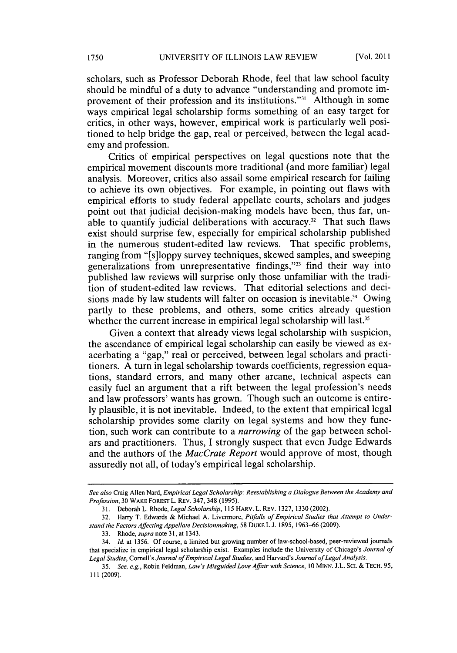scholars, such as Professor Deborah Rhode, feel that law school faculty should be mindful of a duty to advance "understanding and promote improvement of their profession and its institutions."<sup>31</sup> Although in some ways empirical legal scholarship forms something of an easy target for critics, in other ways, however, empirical work is particularly well positioned to help bridge the gap, real or perceived, between the legal academy and profession.

Critics of empirical perspectives on legal questions note that the empirical movement discounts more traditional (and more familiar) legal analysis. Moreover, critics also assail some empirical research for failing to achieve its own objectives. For example, in pointing out flaws with empirical efforts to study federal appellate courts, scholars and judges point out that judicial decision-making models have been, thus far, unable to quantify judicial deliberations with accuracy.<sup>32</sup> That such flaws exist should surprise few, especially for empirical scholarship published in the numerous student-edited law reviews. That specific problems, ranging from "[s]loppy survey techniques, skewed samples, and sweeping generalizations from unrepresentative findings,"<sup>33</sup> find their way into published law reviews will surprise only those unfamiliar with the tradition of student-edited law reviews. That editorial selections and decisions made by law students will falter on occasion is inevitable.<sup>34</sup> Owing partly to these problems, and others, some critics already question whether the current increase in empirical legal scholarship will last.<sup>35</sup>

Given a context that already views legal scholarship with suspicion, the ascendance of empirical legal scholarship can easily be viewed as exacerbating a "gap," real or perceived, between legal scholars and practitioners. **A** turn in legal scholarship towards coefficients, regression equations, standard errors, and many other arcane, technical aspects can easily fuel an argument that a rift between the legal profession's needs and law professors' wants has grown. Though such an outcome is entire**ly** plausible, it is not inevitable. Indeed, to the extent that empirical legal scholarship provides some clarity on legal systems and how they function, such work can contribute to a *narrowing* of the gap between scholars and practitioners. Thus, I strongly suspect that even Judge Edwards and the authors of the *MacCrate Report* would approve of most, though assuredly not all, of today's empirical legal scholarship.

*See also* Craig Allen Nard, *Empirical Legal Scholarship: Reestablishing a Dialogue Between the Academy and Profession, 30* **WAKE FOREST L. REV.** 347, 348 **(1995).**

**<sup>31.</sup>** Deborah L. Rhode, Legal Scholarship, *115* HARV. L. REv. **1327, 1330** (2002).

**<sup>32.</sup>** Harry T. Edwards *&* Michael **A.** Livermore, *Pitfalls of Empirical Studies that Attempt to Understand the Factors Affecting Appellate Decisionmaking,* **58** DuKE **L.J. 1895, 1963-66 (2009).**

**<sup>33.</sup>** *Rhode, supra note* **31,** *at* **1343.**

<sup>34.</sup> *Id.* at **1356. Of** course, a limited but growing number of law-school-based, peer-reviewed journals that specialize in empirical legal scholarship exist. Examples include the University of Chicago's *Journal of Legal Studies, Cornell's Journal ofEmpirical Legal Studies,* and Harvard's *Journal ofLegal Analysis.*

*<sup>35.</sup> See, e.g.,* **Robin** Feldman, *Law's Misguided Love Affair with Science, 10* **MINN. J.L. Sci. & TECH. 95, 111 (2009).**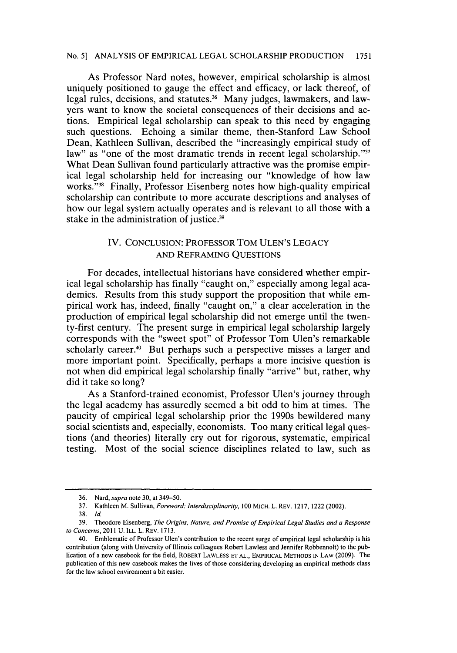As Professor Nard notes, however, empirical scholarship is almost uniquely positioned to gauge the effect and efficacy, or lack thereof, of legal rules, decisions, and statutes.<sup>36</sup> Many judges, lawmakers, and lawyers want to know the societal consequences of their decisions and actions. Empirical legal scholarship can speak to this need **by** engaging such questions. Echoing a similar theme, then-Stanford Law School Dean, Kathleen Sullivan, described the "increasingly empirical study of law" as "one of the most dramatic trends in recent legal scholarship."<sup>37</sup> What Dean Sullivan found particularly attractive was the promise empirical legal scholarship held for increasing our "knowledge of how law works."<sup>38</sup> Finally, Professor Eisenberg notes how high-quality empirical scholarship can contribute to more accurate descriptions and analyses of how our legal system actually operates and is relevant to all those with a stake in the administration of justice.<sup>39</sup>

#### IV. **CONCLUSION:** PROFESSOR TOM ULEN'S **LEGACY AND** REFRAMING **QUESTIONS**

For decades, intellectual historians have considered whether empirical legal scholarship has finally "caught on," especially among legal academics. Results from this study support the proposition that while empirical work has, indeed, finally "caught on," a clear acceleration in the production of empirical legal scholarship did not emerge until the twenty-first century. The present surge in empirical legal scholarship largely corresponds with the "sweet spot" of Professor Tom Ulen's remarkable scholarly career.<sup>40</sup> But perhaps such a perspective misses a larger and more important point. Specifically, perhaps a more incisive question is not when did empirical legal scholarship finally "arrive" but, rather, why did it take so long?

As a Stanford-trained economist, Professor Ulen's journey through the legal academy has assuredly seemed a bit odd to him at times. The paucity of empirical legal scholarship prior the 1990s bewildered many social scientists and, especially, economists. Too many critical legal questions (and theories) literally cry out for rigorous, systematic, empirical testing. Most of the social science disciplines related to law, such as

**<sup>36.</sup>** Nard, *supra* note **30,** at 349-50.

**<sup>37.</sup>** Kathleen M. Sullivan, *Foreword: Interdisciplinarity, 100* MICH. L. REv. **1217,** 1222 (2002).

**<sup>38.</sup>** *Id.*

**<sup>39.</sup>** Theodore Eisenberg, *The Origins, Nature, and Promise ofEmpirical Legal Studies and a Response to Concerns,* 2011 **U. ILL.** L. REv. **1713.**

<sup>40.</sup> Emblematic of Professor Ulen's contribution to the recent surge of empirical legal scholarship is his contribution (along with University of Illinois colleagues Robert Lawless and Jennifer Robbennolt) to the publication of a new casebook for the field, **ROBERT LAWLESS ET AL., EMPIRICAL METHODS IN LAW (2009).** The publication of this new casebook makes the lives of those considering developing an empirical methods class for the law school environment a bit easier.